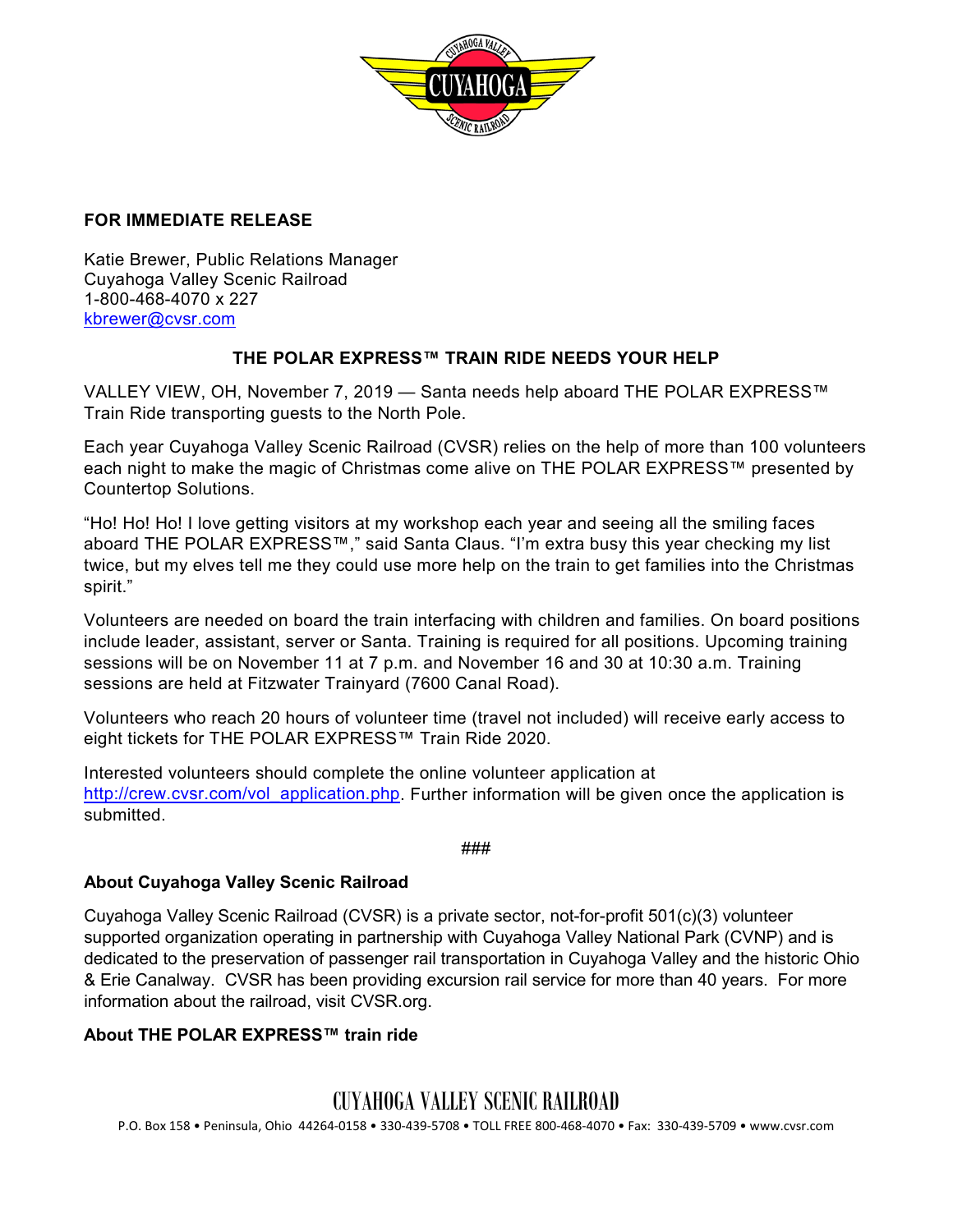

#### **FOR IMMEDIATE RELEASE**

Katie Brewer, Public Relations Manager Cuyahoga Valley Scenic Railroad 1-800-468-4070 x 227 [kbrewer@cvsr.com](mailto:kbrewer@cvsr.com)

### **THE POLAR EXPRESS™ TRAIN RIDE NEEDS YOUR HELP**

VALLEY VIEW, OH, November 7, 2019 — Santa needs help aboard THE POLAR EXPRESS™ Train Ride transporting guests to the North Pole.

Each year Cuyahoga Valley Scenic Railroad (CVSR) relies on the help of more than 100 volunteers each night to make the magic of Christmas come alive on THE POLAR EXPRESS™ presented by Countertop Solutions.

"Ho! Ho! Ho! I love getting visitors at my workshop each year and seeing all the smiling faces aboard THE POLAR EXPRESS™," said Santa Claus. "I'm extra busy this year checking my list twice, but my elves tell me they could use more help on the train to get families into the Christmas spirit."

Volunteers are needed on board the train interfacing with children and families. On board positions include leader, assistant, server or Santa. Training is required for all positions. Upcoming training sessions will be on November 11 at 7 p.m. and November 16 and 30 at 10:30 a.m. Training sessions are held at Fitzwater Trainyard (7600 Canal Road).

Volunteers who reach 20 hours of volunteer time (travel not included) will receive early access to eight tickets for THE POLAR EXPRESS™ Train Ride 2020.

Interested volunteers should complete the online volunteer application at [http://crew.cvsr.com/vol\\_application.php.](http://crew.cvsr.com/vol_application.php) Further information will be given once the application is submitted.

###

#### **About Cuyahoga Valley Scenic Railroad**

Cuyahoga Valley Scenic Railroad (CVSR) is a private sector, not-for-profit 501(c)(3) volunteer supported organization operating in partnership with Cuyahoga Valley National Park (CVNP) and is dedicated to the preservation of passenger rail transportation in Cuyahoga Valley and the historic Ohio & Erie Canalway. CVSR has been providing excursion rail service for more than 40 years. For more information about the railroad, visit CVSR.org.

#### **About THE POLAR EXPRESS™ train ride**

## CUYAHOGA VALLEY SCENIC RAILROAD

P.O. Box 158 • Peninsula, Ohio 44264-0158 • 330-439-5708 • TOLL FREE 800-468-4070 • Fax: 330-439-5709 • www.cvsr.com